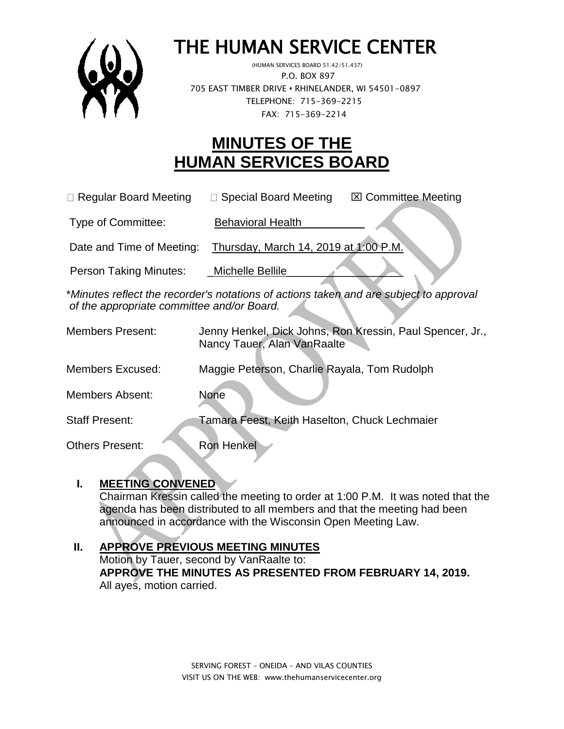

# THE HUMAN SERVICE CENTER

 (HUMAN SERVICES BOARD 51.42/51.437) P.O. BOX 897 705 EAST TIMBER DRIVE **•** RHINELANDER, WI 54501-0897 TELEPHONE: 715-369-2215 FAX: 715-369-2214

# **MINUTES OF THE HUMAN SERVICES BOARD**

| $\Box$ Regular Board Meeting | □ Special Board Meeting | <b>⊠ Committee Meeting</b> |
|------------------------------|-------------------------|----------------------------|
|                              |                         |                            |

Type of Committee: Behavioral Health

Date and Time of Meeting: Thursday, March 14, 2019 at 1:00 P.M.

Person Taking Minutes: Michelle Bellile

\**Minutes reflect the recorder's notations of actions taken and are subject to approval of the appropriate committee and/or Board.*

| <b>Members Present:</b> | Jenny Henkel, Dick Johns, Ron Kressin, Paul Spencer, Jr.,<br>Nancy Tauer, Alan VanRaalte |
|-------------------------|------------------------------------------------------------------------------------------|
| <b>Members Excused:</b> | Maggie Peterson, Charlie Rayala, Tom Rudolph                                             |
| <b>Members Absent:</b>  | <b>None</b>                                                                              |
| <b>Staff Present:</b>   | Tamara Feest, Keith Haselton, Chuck Lechmaier                                            |
| <b>Others Present:</b>  | <b>Ron Henkel</b>                                                                        |

#### **I. MEETING CONVENED**

Chairman Kressin called the meeting to order at 1:00 P.M. It was noted that the agenda has been distributed to all members and that the meeting had been announced in accordance with the Wisconsin Open Meeting Law.

# **II. APPROVE PREVIOUS MEETING MINUTES**

Motion by Tauer, second by VanRaalte to: **APPROVE THE MINUTES AS PRESENTED FROM FEBRUARY 14, 2019.** All ayes, motion carried.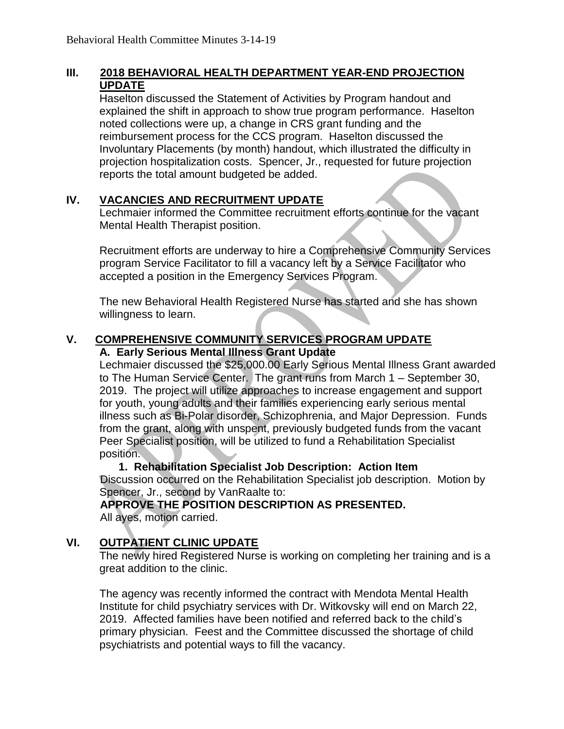#### **III. 2018 BEHAVIORAL HEALTH DEPARTMENT YEAR-END PROJECTION UPDATE**

Haselton discussed the Statement of Activities by Program handout and explained the shift in approach to show true program performance. Haselton noted collections were up, a change in CRS grant funding and the reimbursement process for the CCS program. Haselton discussed the Involuntary Placements (by month) handout, which illustrated the difficulty in projection hospitalization costs. Spencer, Jr., requested for future projection reports the total amount budgeted be added.

#### **IV. VACANCIES AND RECRUITMENT UPDATE**

Lechmaier informed the Committee recruitment efforts continue for the vacant Mental Health Therapist position.

Recruitment efforts are underway to hire a Comprehensive Community Services program Service Facilitator to fill a vacancy left by a Service Facilitator who accepted a position in the Emergency Services Program.

The new Behavioral Health Registered Nurse has started and she has shown willingness to learn.

#### **V. COMPREHENSIVE COMMUNITY SERVICES PROGRAM UPDATE A. Early Serious Mental Illness Grant Update**

Lechmaier discussed the \$25,000.00 Early Serious Mental Illness Grant awarded to The Human Service Center. The grant runs from March 1 – September 30, 2019. The project will utilize approaches to increase engagement and support for youth, young adults and their families experiencing early serious mental illness such as Bi-Polar disorder, Schizophrenia, and Major Depression. Funds from the grant, along with unspent, previously budgeted funds from the vacant Peer Specialist position, will be utilized to fund a Rehabilitation Specialist position.

 **1. Rehabilitation Specialist Job Description: Action Item**  Discussion occurred on the Rehabilitation Specialist job description. Motion by Spencer, Jr., second by VanRaalte to:

**APPROVE THE POSITION DESCRIPTION AS PRESENTED.** All ayes, motion carried.

#### **VI. OUTPATIENT CLINIC UPDATE**

The newly hired Registered Nurse is working on completing her training and is a great addition to the clinic.

The agency was recently informed the contract with Mendota Mental Health Institute for child psychiatry services with Dr. Witkovsky will end on March 22, 2019. Affected families have been notified and referred back to the child's primary physician. Feest and the Committee discussed the shortage of child psychiatrists and potential ways to fill the vacancy.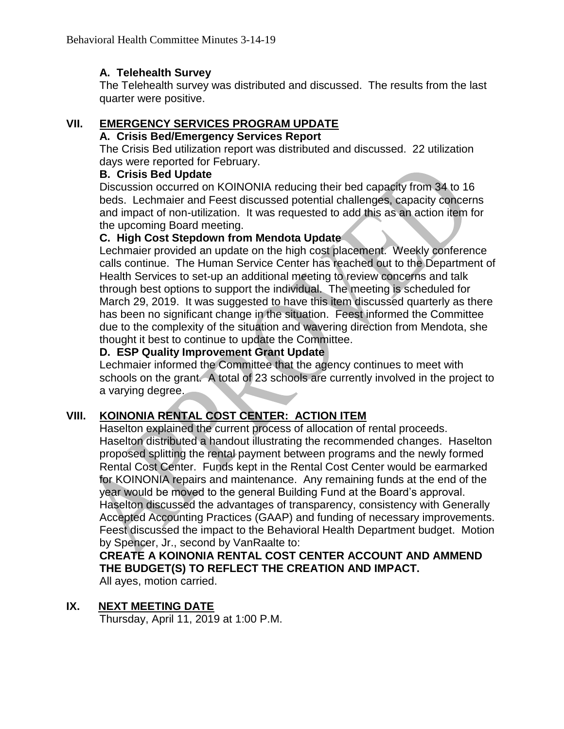## **A. Telehealth Survey**

The Telehealth survey was distributed and discussed. The results from the last quarter were positive.

## **VII. EMERGENCY SERVICES PROGRAM UPDATE**

#### **A. Crisis Bed/Emergency Services Report**

The Crisis Bed utilization report was distributed and discussed. 22 utilization days were reported for February.

#### **B. Crisis Bed Update**

Discussion occurred on KOINONIA reducing their bed capacity from 34 to 16 beds. Lechmaier and Feest discussed potential challenges, capacity concerns and impact of non-utilization. It was requested to add this as an action item for the upcoming Board meeting.

#### **C. High Cost Stepdown from Mendota Update**

Lechmaier provided an update on the high cost placement. Weekly conference calls continue. The Human Service Center has reached out to the Department of Health Services to set-up an additional meeting to review concerns and talk through best options to support the individual. The meeting is scheduled for March 29, 2019. It was suggested to have this item discussed quarterly as there has been no significant change in the situation. Feest informed the Committee due to the complexity of the situation and wavering direction from Mendota, she thought it best to continue to update the Committee.

#### **D. ESP Quality Improvement Grant Update**

Lechmaier informed the Committee that the agency continues to meet with schools on the grant. A total of 23 schools are currently involved in the project to a varying degree.

#### **VIII. KOINONIA RENTAL COST CENTER: ACTION ITEM**

Haselton explained the current process of allocation of rental proceeds. Haselton distributed a handout illustrating the recommended changes. Haselton proposed splitting the rental payment between programs and the newly formed Rental Cost Center. Funds kept in the Rental Cost Center would be earmarked for KOINONIA repairs and maintenance. Any remaining funds at the end of the year would be moved to the general Building Fund at the Board's approval. Haselton discussed the advantages of transparency, consistency with Generally Accepted Accounting Practices (GAAP) and funding of necessary improvements. Feest discussed the impact to the Behavioral Health Department budget. Motion by Spencer, Jr., second by VanRaalte to:

# **CREATE A KOINONIA RENTAL COST CENTER ACCOUNT AND AMMEND THE BUDGET(S) TO REFLECT THE CREATION AND IMPACT.**

All ayes, motion carried.

#### **IX. NEXT MEETING DATE**

Thursday, April 11, 2019 at 1:00 P.M.